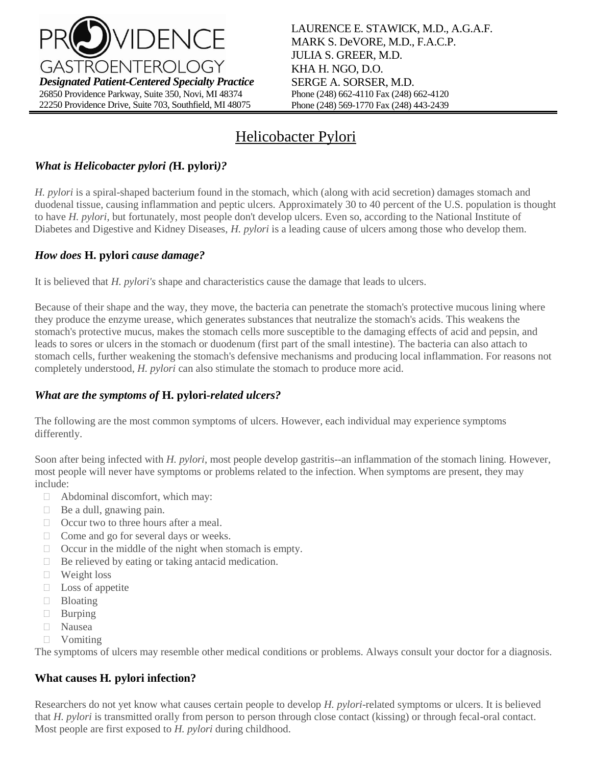

# Helicobacter Pylori

## *What is Helicobacter pylori (***H. pylori***)?*

*H. pylori* is a spiral-shaped bacterium found in the stomach, which (along with acid secretion) damages stomach and duodenal tissue, causing inflammation and peptic ulcers. Approximately 30 to 40 percent of the U.S. population is thought to have *H. pylori*, but fortunately, most people don't develop ulcers. Even so, according to the National Institute of Diabetes and Digestive and Kidney Diseases, *H. pylori* is a leading cause of ulcers among those who develop them.

### *How does* **H. pylori** *cause damage?*

It is believed that *H. pylori's* shape and characteristics cause the damage that leads to ulcers.

Because of their shape and the way, they move, the bacteria can penetrate the stomach's protective mucous lining where they produce the enzyme urease, which generates substances that neutralize the stomach's acids. This weakens the stomach's protective mucus, makes the stomach cells more susceptible to the damaging effects of acid and pepsin, and leads to sores or ulcers in the stomach or duodenum (first part of the small intestine). The bacteria can also attach to stomach cells, further weakening the stomach's defensive mechanisms and producing local inflammation. For reasons not completely understood, *H. pylori* can also stimulate the stomach to produce more acid.

### *What are the symptoms of* **H. pylori***-related ulcers?*

The following are the most common symptoms of ulcers. However, each individual may experience symptoms differently.

Soon after being infected with *H. pylori*, most people develop gastritis--an inflammation of the stomach lining. However, most people will never have symptoms or problems related to the infection. When symptoms are present, they may include:

- □ Abdominal discomfort, which may:
- Be a dull, gnawing pain.
- □ Occur two to three hours after a meal.
- $\Box$  Come and go for several days or weeks.
- $\Box$  Occur in the middle of the night when stomach is empty.
- $\Box$  Be relieved by eating or taking antacid medication.
- □ Weight loss
- $\Box$  Loss of appetite
- **Bloating**
- **Burping**
- Nausea
- Vomiting

The symptoms of ulcers may resemble other medical conditions or problems. Always consult your doctor for a diagnosis.

### **What causes H***.* **pylori infection?**

Researchers do not yet know what causes certain people to develop *H. pylori*-related symptoms or ulcers. It is believed that *H. pylori* is transmitted orally from person to person through close contact (kissing) or through fecal-oral contact. Most people are first exposed to *H. pylori* during childhood.